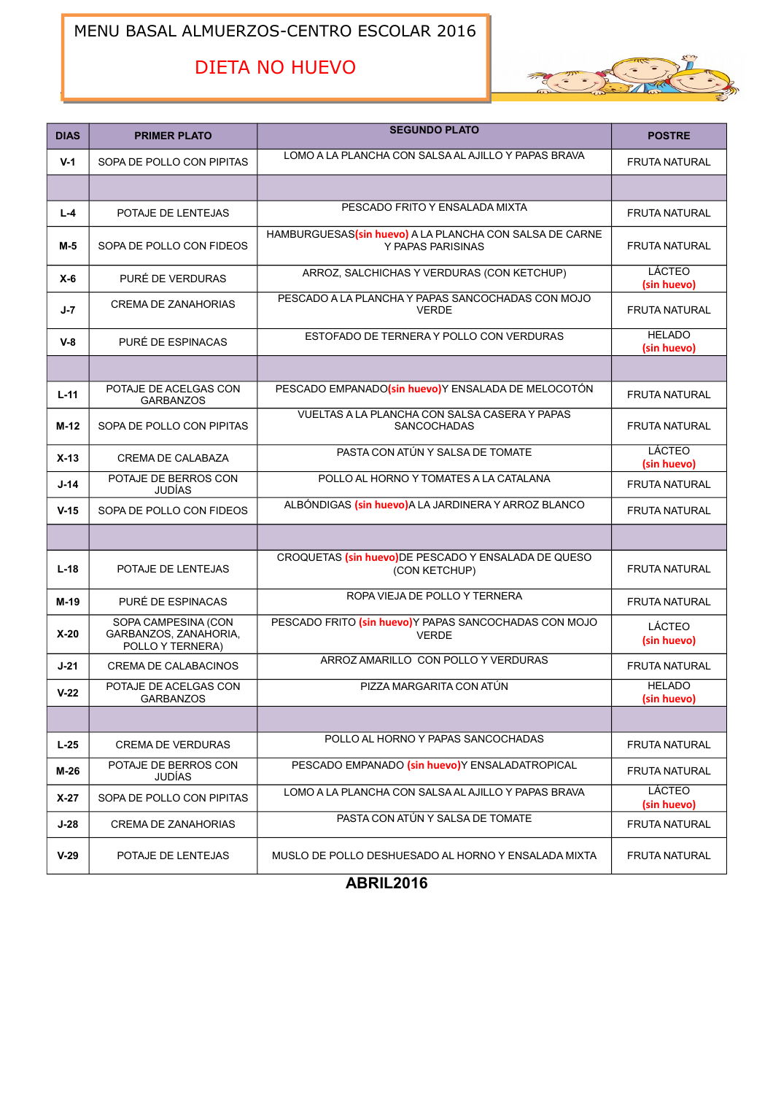### MENU BASAL ALMUERZOS-CENTRO ESCOLAR 2016

# DIETA NO HUEVO



| <b>DIAS</b> | <b>PRIMER PLATO</b>                                              | <b>SEGUNDO PLATO</b>                                                         | <b>POSTRE</b>                |
|-------------|------------------------------------------------------------------|------------------------------------------------------------------------------|------------------------------|
| $V-1$       | SOPA DE POLLO CON PIPITAS                                        | LOMO A LA PLANCHA CON SALSA AL AJILLO Y PAPAS BRAVA                          | <b>FRUTA NATURAL</b>         |
|             |                                                                  |                                                                              |                              |
| $L - 4$     | POTAJE DE LENTEJAS                                               | PESCADO FRITO Y ENSALADA MIXTA                                               | <b>FRUTA NATURAL</b>         |
| M-5         | SOPA DE POLLO CON FIDEOS                                         | HAMBURGUESAS(sin huevo) A LA PLANCHA CON SALSA DE CARNE<br>Y PAPAS PARISINAS | <b>FRUTA NATURAL</b>         |
| $X-6$       | PURÉ DE VERDURAS                                                 | ARROZ, SALCHICHAS Y VERDURAS (CON KETCHUP)                                   | <b>LÁCTEO</b><br>(sin huevo) |
| $J - 7$     | <b>CREMA DE ZANAHORIAS</b>                                       | PESCADO A LA PLANCHA Y PAPAS SANCOCHADAS CON MOJO<br><b>VERDE</b>            | <b>FRUTA NATURAL</b>         |
| $V-8$       | PURÉ DE ESPINACAS                                                | ESTOFADO DE TERNERA Y POLLO CON VERDURAS                                     | <b>HELADO</b><br>(sin huevo) |
|             |                                                                  |                                                                              |                              |
| $L-11$      | POTAJE DE ACELGAS CON<br><b>GARBANZOS</b>                        | PESCADO EMPANADO(sin huevo)Y ENSALADA DE MELOCOTÓN                           | <b>FRUTA NATURAL</b>         |
| M-12        | SOPA DE POLLO CON PIPITAS                                        | VUELTAS A LA PLANCHA CON SALSA CASERA Y PAPAS<br><b>SANCOCHADAS</b>          | <b>FRUTA NATURAL</b>         |
| $X-13$      | <b>CREMA DE CALABAZA</b>                                         | PASTA CON ATÚN Y SALSA DE TOMATE                                             | LÁCTEO<br>(sin huevo)        |
| $J-14$      | POTAJE DE BERROS CON<br>JUDÍAS                                   | POLLO AL HORNO Y TOMATES A LA CATALANA                                       | <b>FRUTA NATURAL</b>         |
| $V-15$      | SOPA DE POLLO CON FIDEOS                                         | ALBÓNDIGAS (sin huevo) A LA JARDINERA Y ARROZ BLANCO                         | <b>FRUTA NATURAL</b>         |
|             |                                                                  |                                                                              |                              |
| $L-18$      | POTAJE DE LENTEJAS                                               | CROQUETAS (sin huevo)DE PESCADO Y ENSALADA DE QUESO<br>(CON KETCHUP)         | <b>FRUTA NATURAL</b>         |
| $M-19$      | PURÉ DE ESPINACAS                                                | ROPA VIEJA DE POLLO Y TERNERA                                                | <b>FRUTA NATURAL</b>         |
| $X-20$      | SOPA CAMPESINA (CON<br>GARBANZOS, ZANAHORIA,<br>POLLO Y TERNERA) | PESCADO FRITO (sin huevo)Y PAPAS SANCOCHADAS CON MOJO<br><b>VERDE</b>        | LÁCTEO<br>(sin huevo)        |
| $J-21$      | CREMA DE CALABACINOS                                             | ARROZ AMARILLO CON POLLO Y VERDURAS                                          | <b>FRUTA NATURAL</b>         |
| $V-22$      | POTAJE DE ACELGAS CON<br><b>GARBANZOS</b>                        | PIZZA MARGARITA CON ATÚN                                                     | <b>HELADO</b><br>(sin huevo) |
|             |                                                                  |                                                                              |                              |
| $L-25$      | <b>CREMA DE VERDURAS</b>                                         | POLLO AL HORNO Y PAPAS SANCOCHADAS                                           | FRUTA NATURAL                |
| $M-26$      | POTAJE DE BERROS CON<br>JUDÍAS                                   | PESCADO EMPANADO (sin huevo)Y ENSALADATROPICAL                               | FRUTA NATURAL                |
| $X-27$      | SOPA DE POLLO CON PIPITAS                                        | LOMO A LA PLANCHA CON SALSA AL AJILLO Y PAPAS BRAVA                          | LÁCTEO<br>(sin huevo)        |
| $J-28$      | <b>CREMA DE ZANAHORIAS</b>                                       | PASTA CON ATÚN Y SALSA DE TOMATE                                             | FRUTA NATURAL                |
| $V-29$      | POTAJE DE LENTEJAS                                               | MUSLO DE POLLO DESHUESADO AL HORNO Y ENSALADA MIXTA                          | <b>FRUTA NATURAL</b>         |

**ABRIL2016**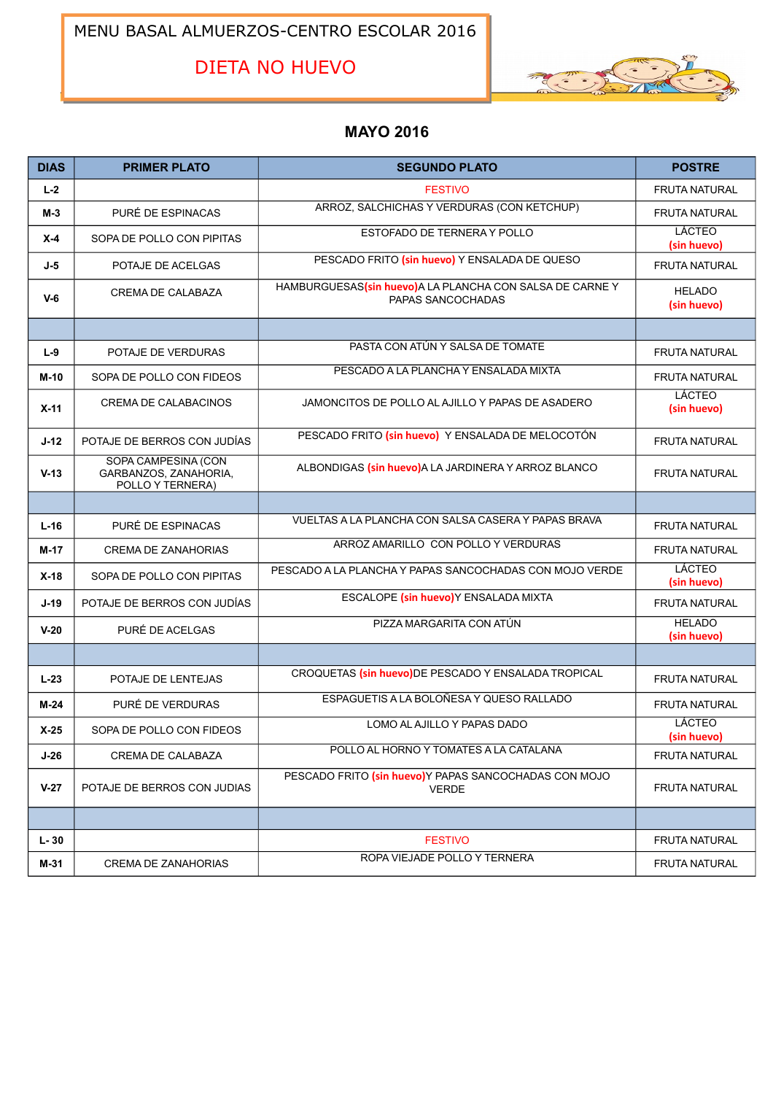MENU BASAL ALMUERZOS-CENTRO ESCOLAR 2016

DIETA NO HUEVO



### **MAYO 2016**

| <b>DIAS</b> | <b>PRIMER PLATO</b>                                              | <b>SEGUNDO PLATO</b>                                                         | <b>POSTRE</b>                |
|-------------|------------------------------------------------------------------|------------------------------------------------------------------------------|------------------------------|
| $L-2$       |                                                                  | <b>FESTIVO</b>                                                               | <b>FRUTA NATURAL</b>         |
| $M-3$       | PURÉ DE ESPINACAS                                                | ARROZ, SALCHICHAS Y VERDURAS (CON KETCHUP)                                   | <b>FRUTA NATURAL</b>         |
| $X-4$       | SOPA DE POLLO CON PIPITAS                                        | ESTOFADO DE TERNERA Y POLLO                                                  | LÁCTEO<br>(sin huevo)        |
| $J-5$       | POTAJE DE ACELGAS                                                | PESCADO FRITO (sin huevo) Y ENSALADA DE QUESO                                | <b>FRUTA NATURAL</b>         |
| $V-6$       | CREMA DE CALABAZA                                                | HAMBURGUESAS(sin huevo)A LA PLANCHA CON SALSA DE CARNEY<br>PAPAS SANCOCHADAS | <b>HELADO</b><br>(sin huevo) |
|             |                                                                  |                                                                              |                              |
| $L-9$       | POTAJE DE VERDURAS                                               | PASTA CON ATÚN Y SALSA DE TOMATE                                             | <b>FRUTA NATURAL</b>         |
| M-10        | SOPA DE POLLO CON FIDEOS                                         | PESCADO A LA PLANCHA Y ENSALADA MIXTA                                        | <b>FRUTA NATURAL</b>         |
| $X-11$      | <b>CREMA DE CALABACINOS</b>                                      | JAMONCITOS DE POLLO AL AJILLO Y PAPAS DE ASADERO                             | <b>LÁCTEO</b><br>(sin huevo) |
| $J-12$      | POTAJE DE BERROS CON JUDÍAS                                      | PESCADO FRITO (sin huevo) Y ENSALADA DE MELOCOTÓN                            | <b>FRUTA NATURAL</b>         |
| $V-13$      | SOPA CAMPESINA (CON<br>GARBANZOS, ZANAHORIA,<br>POLLO Y TERNERA) | ALBONDIGAS (sin huevo)A LA JARDINERA Y ARROZ BLANCO                          | <b>FRUTA NATURAL</b>         |
|             |                                                                  |                                                                              |                              |
| $L-16$      | PURÉ DE ESPINACAS                                                | VUELTAS A LA PLANCHA CON SALSA CASERA Y PAPAS BRAVA                          | <b>FRUTA NATURAL</b>         |
| M-17        | <b>CREMA DE ZANAHORIAS</b>                                       | ARROZ AMARILLO CON POLLO Y VERDURAS                                          | <b>FRUTA NATURAL</b>         |
| $X-18$      | SOPA DE POLLO CON PIPITAS                                        | PESCADO A LA PLANCHA Y PAPAS SANCOCHADAS CON MOJO VERDE                      | LÁCTEO<br>(sin huevo)        |
| $J-19$      | POTAJE DE BERROS CON JUDÍAS                                      | ESCALOPE (sin huevo)Y ENSALADA MIXTA                                         | <b>FRUTA NATURAL</b>         |
| $V-20$      | PURÉ DE ACELGAS                                                  | PIZZA MARGARITA CON ATÚN                                                     | <b>HELADO</b><br>(sin huevo) |
|             |                                                                  |                                                                              |                              |
| $L-23$      | POTAJE DE LENTEJAS                                               | CROQUETAS (sin huevo)DE PESCADO Y ENSALADA TROPICAL                          | <b>FRUTA NATURAL</b>         |
| $M-24$      | PURÉ DE VERDURAS                                                 | ESPAGUETIS A LA BOLOÑESA Y QUESO RALLADO                                     | <b>FRUTA NATURAL</b>         |
| $X-25$      | SOPA DE POLLO CON FIDEOS                                         | LOMO AL AJILLO Y PAPAS DADO                                                  | LÁCTEO<br>(sin huevo)        |
| $J-26$      | CREMA DE CALABAZA                                                | POLLO AL HORNO Y TOMATES A LA CATALANA                                       | FRUTA NATURAL                |
| $V-27$      | POTAJE DE BERROS CON JUDIAS                                      | PESCADO FRITO (sin huevo)Y PAPAS SANCOCHADAS CON MOJO<br><b>VERDE</b>        | FRUTA NATURAL                |
|             |                                                                  |                                                                              |                              |
| $L - 30$    |                                                                  | <b>FESTIVO</b>                                                               | FRUTA NATURAL                |
| M-31        | CREMA DE ZANAHORIAS                                              | ROPA VIEJADE POLLO Y TERNERA                                                 | FRUTA NATURAL                |